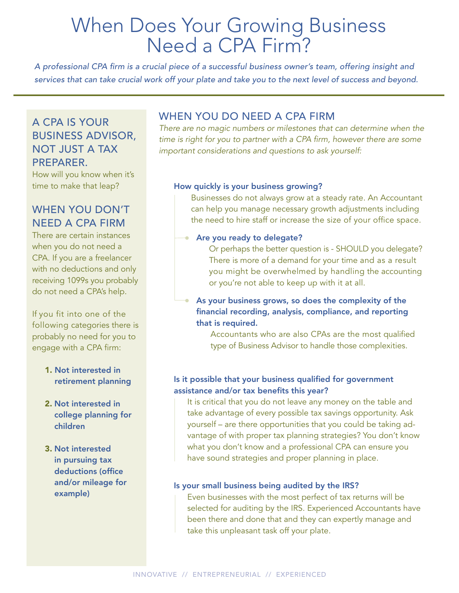# When Does Your Growing Business Need a CPA Firm?

*A professional CPA firm is a crucial piece of a successful business owner's team, offering insight and services that can take crucial work off your plate and take you to the next level of success and beyond.* 

## A CPA IS YOUR BUSINESS ADVISOR, NOT JUST A TAX PREPARER.

How will you know when it's time to make that leap?

## WHEN YOU DON'T NEED A CPA FIRM

There are certain instances when you do not need a CPA. If you are a freelancer with no deductions and only receiving 1099s you probably do not need a CPA's help.

If you fit into one of the following categories there is probably no need for you to engage with a CPA firm:

#### 1. Not interested in retirement planning

- 2. Not interested in college planning for children
- 3. Not interested in pursuing tax deductions (office and/or mileage for example)

# WHEN YOU DO NEED A CPA FIRM

*There are no magic numbers or milestones that can determine when the*  time is right for you to partner with a CPA firm, however there are some *important considerations and questions to ask yourself:*

#### How quickly is your business growing?

 Businesses do not always grow at a steady rate. An Accountant can help you manage necessary growth adjustments including the need to hire staff or increase the size of your office space.

#### **Are you ready to delegate?**

 Or perhaps the better question is - SHOULD you delegate? There is more of a demand for your time and as a result you might be overwhelmed by handling the accounting or you're not able to keep up with it at all.

As your business grows, so does the complexity of the financial recording, analysis, compliance, and reporting that is required.

> Accountants who are also CPAs are the most qualified type of Business Advisor to handle those complexities.

#### Is it possible that your business qualified for government assistance and/or tax benefits this year?

 It is critical that you do not leave any money on the table and take advantage of every possible tax savings opportunity. Ask yourself – are there opportunities that you could be taking advantage of with proper tax planning strategies? You don't know what you don't know and a professional CPA can ensure you have sound strategies and proper planning in place.

#### Is your small business being audited by the IRS?

 Even businesses with the most perfect of tax returns will be selected for auditing by the IRS. Experienced Accountants have been there and done that and they can expertly manage and take this unpleasant task off your plate.